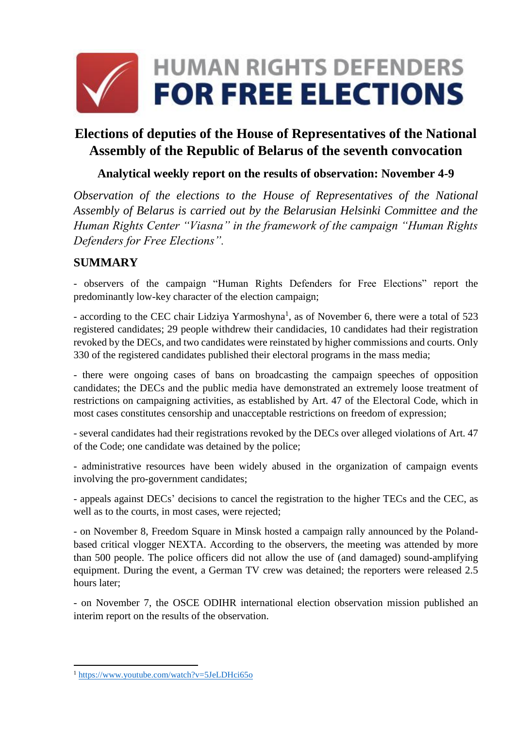

# **Elections of deputies of the House of Representatives of the National Assembly of the Republic of Belarus of the seventh convocation**

#### **Analytical weekly report on the results of observation: November 4-9**

*Observation of the elections to the House of Representatives of the National Assembly of Belarus is carried out by the Belarusian Helsinki Committee and the Human Rights Center "Viasna" in the framework of the campaign "Human Rights Defenders for Free Elections".*

#### **SUMMARY**

- observers of the campaign "Human Rights Defenders for Free Elections" report the predominantly low-key character of the election campaign;

- according to the CEC chair Lidziya Yarmoshyna<sup>1</sup>, as of November 6, there were a total of 523 registered candidates; 29 people withdrew their candidacies, 10 candidates had their registration revoked by the DECs, and two candidates were reinstated by higher commissions and courts. Only 330 of the registered candidates published their electoral programs in the mass media;

- there were ongoing cases of bans on broadcasting the campaign speeches of opposition candidates; the DECs and the public media have demonstrated an extremely loose treatment of restrictions on campaigning activities, as established by Art. 47 of the Electoral Code, which in most cases constitutes censorship and unacceptable restrictions on freedom of expression;

- several candidates had their registrations revoked by the DECs over alleged violations of Art. 47 of the Code; one candidate was detained by the police;

- administrative resources have been widely abused in the organization of campaign events involving the pro-government candidates;

- appeals against DECs' decisions to cancel the registration to the higher TECs and the CEC, as well as to the courts, in most cases, were rejected;

- on November 8, Freedom Square in Minsk hosted a campaign rally announced by the Polandbased critical vlogger NEXTA. According to the observers, the meeting was attended by more than 500 people. The police officers did not allow the use of (and damaged) sound-amplifying equipment. During the event, a German TV crew was detained; the reporters were released 2.5 hours later;

- on November 7, the OSCE ODIHR international election observation mission published an interim report on the results of the observation.

**.** 

<sup>1</sup> <https://www.youtube.com/watch?v=5JeLDHci65o>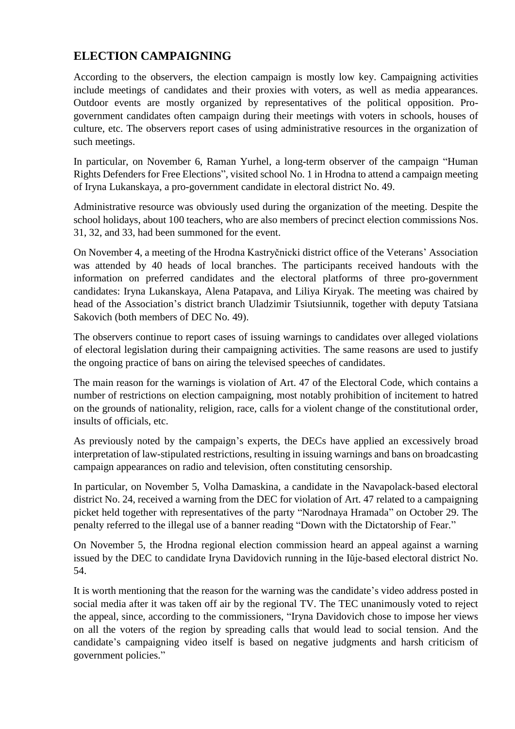## **ELECTION CAMPAIGNING**

According to the observers, the election campaign is mostly low key. Campaigning activities include meetings of candidates and their proxies with voters, as well as media appearances. Outdoor events are mostly organized by representatives of the political opposition. Progovernment candidates often campaign during their meetings with voters in schools, houses of culture, etc. The observers report cases of using administrative resources in the organization of such meetings.

In particular, on November 6, Raman Yurhel, a long-term observer of the campaign "Human Rights Defenders for Free Elections", visited school No. 1 in Hrodna to attend a campaign meeting of Iryna Lukanskaya, a pro-government candidate in electoral district No. 49.

Administrative resource was obviously used during the organization of the meeting. Despite the school holidays, about 100 teachers, who are also members of precinct election commissions Nos. 31, 32, and 33, had been summoned for the event.

On November 4, a meeting of the Hrodna Kastryčnicki district office of the Veterans' Association was attended by 40 heads of local branches. The participants received handouts with the information on preferred candidates and the electoral platforms of three pro-government candidates: Iryna Lukanskaya, Alena Patapava, and Liliya Kiryak. The meeting was chaired by head of the Association's district branch Uladzimir Tsiutsiunnik, together with deputy Tatsiana Sakovich (both members of DEC No. 49).

The observers continue to report cases of issuing warnings to candidates over alleged violations of electoral legislation during their campaigning activities. The same reasons are used to justify the ongoing practice of bans on airing the televised speeches of candidates.

The main reason for the warnings is violation of Art. 47 of the Electoral Code, which contains a number of restrictions on election campaigning, most notably prohibition of incitement to hatred on the grounds of nationality, religion, race, calls for a violent change of the constitutional order, insults of officials, etc.

As previously noted by the campaign's experts, the DECs have applied an excessively broad interpretation of law-stipulated restrictions, resulting in issuing warnings and bans on broadcasting campaign appearances on radio and television, often constituting censorship.

In particular, on November 5, Volha Damaskina, a candidate in the Navapolack-based electoral district No. 24, received a warning from the DEC for violation of Art. 47 related to a campaigning picket held together with representatives of the party "Narodnaya Hramada" on October 29. The penalty referred to the illegal use of a banner reading "Down with the Dictatorship of Fear."

On November 5, the Hrodna regional election commission heard an appeal against a warning issued by the DEC to candidate Iryna Davidovich running in the Iŭje-based electoral district No. 54.

It is worth mentioning that the reason for the warning was the candidate's video address posted in social media after it was taken off air by the regional TV. The TEC unanimously voted to reject the appeal, since, according to the commissioners, "Iryna Davidovich chose to impose her views on all the voters of the region by spreading calls that would lead to social tension. And the candidate's campaigning video itself is based on negative judgments and harsh criticism of government policies."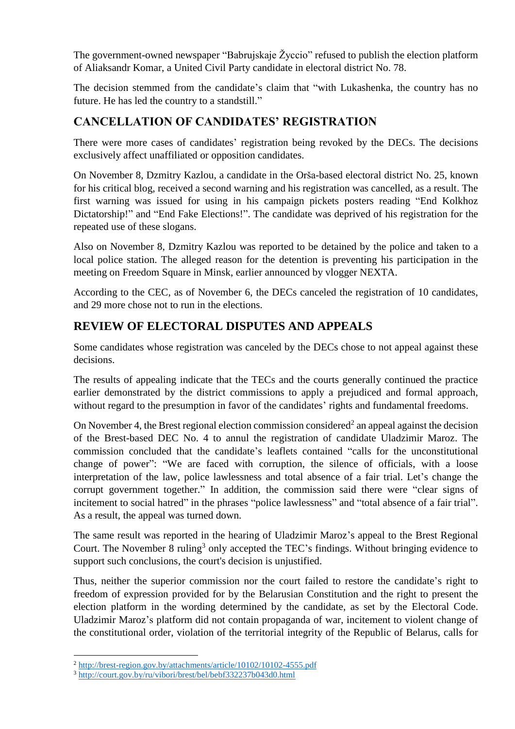The government-owned newspaper "Babrujskaje Žyccio" refused to publish the election platform of Aliaksandr Komar, a United Civil Party candidate in electoral district No. 78.

The decision stemmed from the candidate's claim that "with Lukashenka, the country has no future. He has led the country to a standstill."

## **CANCELLATION OF CANDIDATES' REGISTRATION**

There were more cases of candidates' registration being revoked by the DECs. The decisions exclusively affect unaffiliated or opposition candidates.

On November 8, Dzmitry Kazlou, a candidate in the Orša-based electoral district No. 25, known for his critical blog, received a second warning and his registration was cancelled, as a result. The first warning was issued for using in his campaign pickets posters reading "End Kolkhoz Dictatorship!" and "End Fake Elections!". The candidate was deprived of his registration for the repeated use of these slogans.

Also on November 8, Dzmitry Kazlou was reported to be detained by the police and taken to a local police station. The alleged reason for the detention is preventing his participation in the meeting on Freedom Square in Minsk, earlier announced by vlogger NEXTA.

According to the CEC, as of November 6, the DECs canceled the registration of 10 candidates, and 29 more chose not to run in the elections.

### **REVIEW OF ELECTORAL DISPUTES AND APPEALS**

Some candidates whose registration was canceled by the DECs chose to not appeal against these decisions.

The results of appealing indicate that the TECs and the courts generally continued the practice earlier demonstrated by the district commissions to apply a prejudiced and formal approach, without regard to the presumption in favor of the candidates' rights and fundamental freedoms.

On November 4, the Brest regional election commission considered<sup>2</sup> an appeal against the decision of the Brest-based DEC No. 4 to annul the registration of candidate Uladzimir Maroz. The commission concluded that the candidate's leaflets contained "calls for the unconstitutional change of power": "We are faced with corruption, the silence of officials, with a loose interpretation of the law, police lawlessness and total absence of a fair trial. Let's change the corrupt government together." In addition, the commission said there were "clear signs of incitement to social hatred" in the phrases "police lawlessness" and "total absence of a fair trial". As a result, the appeal was turned down.

The same result was reported in the hearing of Uladzimir Maroz's appeal to the Brest Regional Court. The November 8 ruling<sup>3</sup> only accepted the TEC's findings. Without bringing evidence to support such conclusions, the court's decision is unjustified.

Thus, neither the superior commission nor the court failed to restore the candidate's right to freedom of expression provided for by the Belarusian Constitution and the right to present the election platform in the wording determined by the candidate, as set by the Electoral Code. Uladzimir Maroz's platform did not contain propaganda of war, incitement to violent change of the constitutional order, violation of the territorial integrity of the Republic of Belarus, calls for

**.** 

<sup>2</sup> <http://brest-region.gov.by/attachments/article/10102/10102-4555.pdf>

<sup>3</sup> <http://court.gov.by/ru/vibori/brest/bel/bebf332237b043d0.html>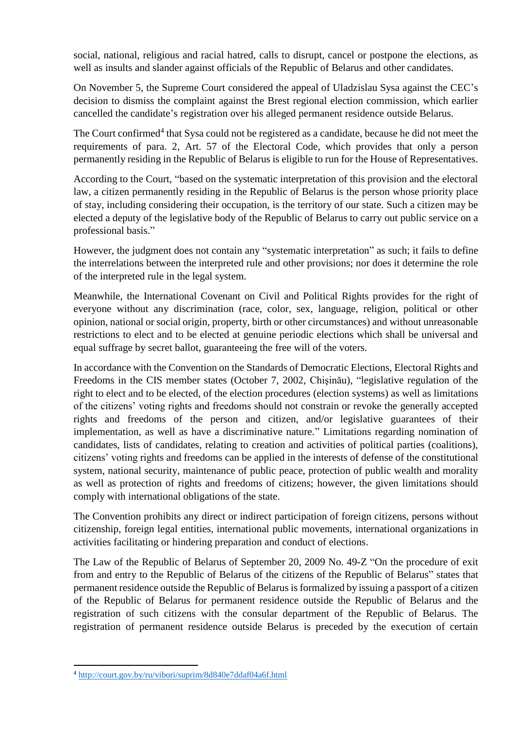social, national, religious and racial hatred, calls to disrupt, cancel or postpone the elections, as well as insults and slander against officials of the Republic of Belarus and other candidates.

On November 5, the Supreme Court considered the appeal of Uladzislau Sysa against the CEC's decision to dismiss the complaint against the Brest regional election commission, which earlier cancelled the candidate's registration over his alleged permanent residence outside Belarus.

The Court confirmed<sup>4</sup> that Sysa could not be registered as a candidate, because he did not meet the requirements of para. 2, Art. 57 of the Electoral Code, which provides that only a person permanently residing in the Republic of Belarus is eligible to run for the House of Representatives.

According to the Court, "based on the systematic interpretation of this provision and the electoral law, a citizen permanently residing in the Republic of Belarus is the person whose priority place of stay, including considering their occupation, is the territory of our state. Such a citizen may be elected a deputy of the legislative body of the Republic of Belarus to carry out public service on a professional basis."

However, the judgment does not contain any "systematic interpretation" as such; it fails to define the interrelations between the interpreted rule and other provisions; nor does it determine the role of the interpreted rule in the legal system.

Meanwhile, the International Covenant on Civil and Political Rights provides for the right of everyone without any discrimination (race, color, sex, language, religion, political or other opinion, national or social origin, property, birth or other circumstances) and without unreasonable restrictions to elect and to be elected at genuine periodic elections which shall be universal and equal suffrage by secret ballot, guaranteeing the free will of the voters.

In accordance with the Convention on the Standards of Democratic Elections, Electoral Rights and Freedoms in the CIS member states (October 7, 2002, Chişinău), "legislative regulation of the right to elect and to be elected, of the election procedures (election systems) as well as limitations of the citizens' voting rights and freedoms should not constrain or revoke the generally accepted rights and freedoms of the person and citizen, and/or legislative guarantees of their implementation, as well as have a discriminative nature." Limitations regarding nomination of candidates, lists of candidates, relating to creation and activities of political parties (coalitions), citizens' voting rights and freedoms can be applied in the interests of defense of the constitutional system, national security, maintenance of public peace, protection of public wealth and morality as well as protection of rights and freedoms of citizens; however, the given limitations should comply with international obligations of the state.

The Convention prohibits any direct or indirect participation of foreign citizens, persons without citizenship, foreign legal entities, international public movements, international organizations in activities facilitating or hindering preparation and conduct of elections.

The Law of the Republic of Belarus of September 20, 2009 No. 49-Z "On the procedure of exit from and entry to the Republic of Belarus of the citizens of the Republic of Belarus" states that permanent residence outside the Republic of Belarus is formalized by issuing a passport of a citizen of the Republic of Belarus for permanent residence outside the Republic of Belarus and the registration of such citizens with the consular department of the Republic of Belarus. The registration of permanent residence outside Belarus is preceded by the execution of certain

**.** 

<sup>4</sup> <http://court.gov.by/ru/vibori/suprim/8d840e7ddaf04a6f.html>